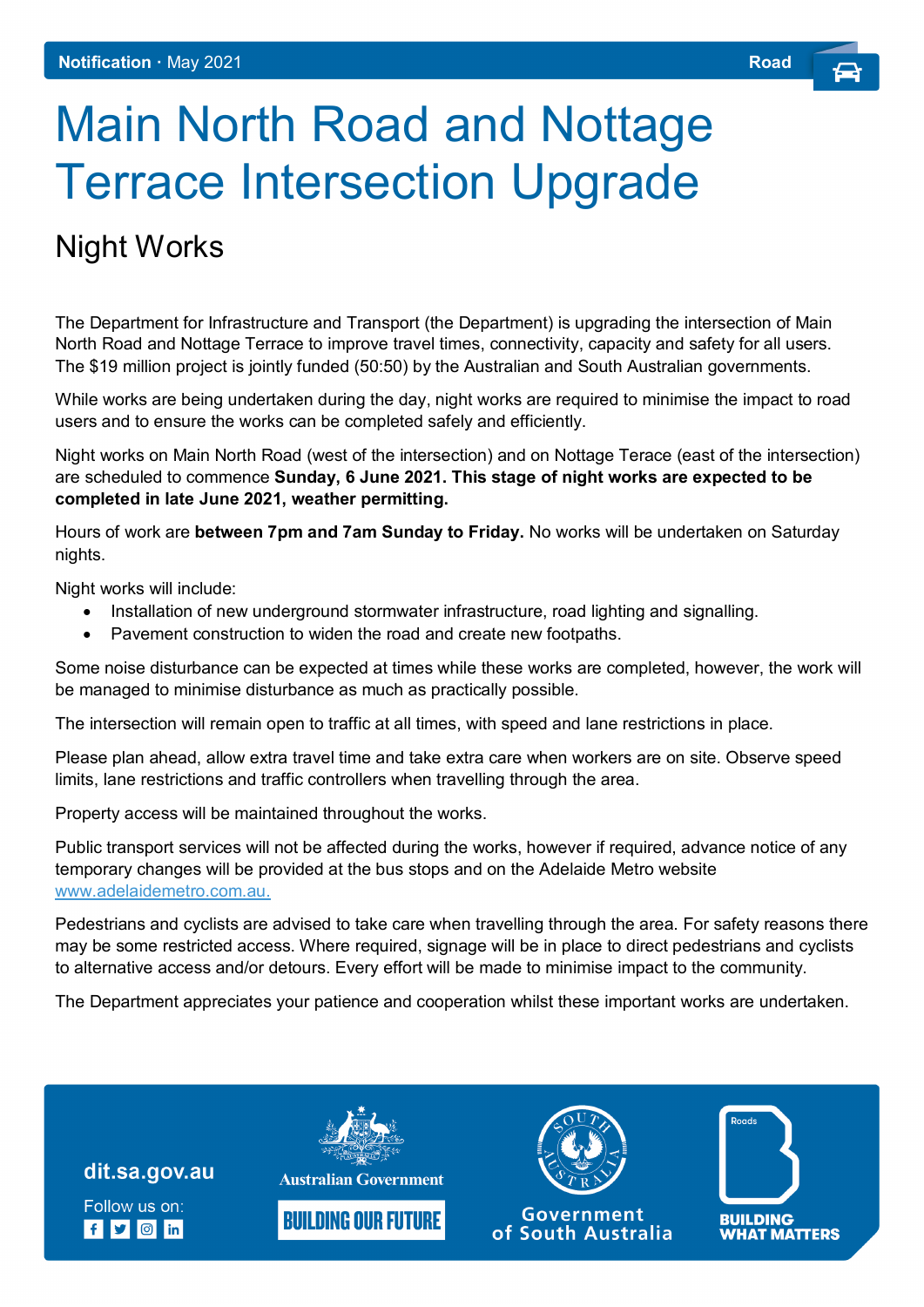## Main North Road and Nottage Terrace Intersection Upgrade

## Night Works

The Department for Infrastructure and Transport (the Department) is upgrading the intersection of Main North Road and Nottage Terrace to improve travel times, connectivity, capacity and safety for all users. The \$19 million project is jointly funded (50:50) by the Australian and South Australian governments.

While works are being undertaken during the day, night works are required to minimise the impact to road users and to ensure the works can be completed safely and efficiently.

Night works on Main North Road (west of the intersection) and on Nottage Terace (east of the intersection) are scheduled to commence **Sunday, 6 June 2021. This stage of night works are expected to be completed in late June 2021, weather permitting.**

Hours of work are **between 7pm and 7am Sunday to Friday.** No works will be undertaken on Saturday nights.

Night works will include:

- Installation of new underground stormwater infrastructure, road lighting and signalling.
- Pavement construction to widen the road and create new footpaths.

Some noise disturbance can be expected at times while these works are completed, however, the work will be managed to minimise disturbance as much as practically possible.

The intersection will remain open to traffic at all times, with speed and lane restrictions in place.

Please plan ahead, allow extra travel time and take extra care when workers are on site. Observe speed limits, lane restrictions and traffic controllers when travelling through the area.

Property access will be maintained throughout the works.

Public transport services will not be affected during the works, however if required, advance notice of any temporary changes will be provided at the bus stops and on the Adelaide Metro website [www.adelaidemetro.com.au.](http://www.adelaidemetro.com.au/)

Pedestrians and cyclists are advised to take care when travelling through the area. For safety reasons there may be some restricted access. Where required, signage will be in place to direct pedestrians and cyclists to alternative access and/or detours. Every effort will be made to minimise impact to the community.

The Department appreciates your patience and cooperation whilst these important works are undertaken.